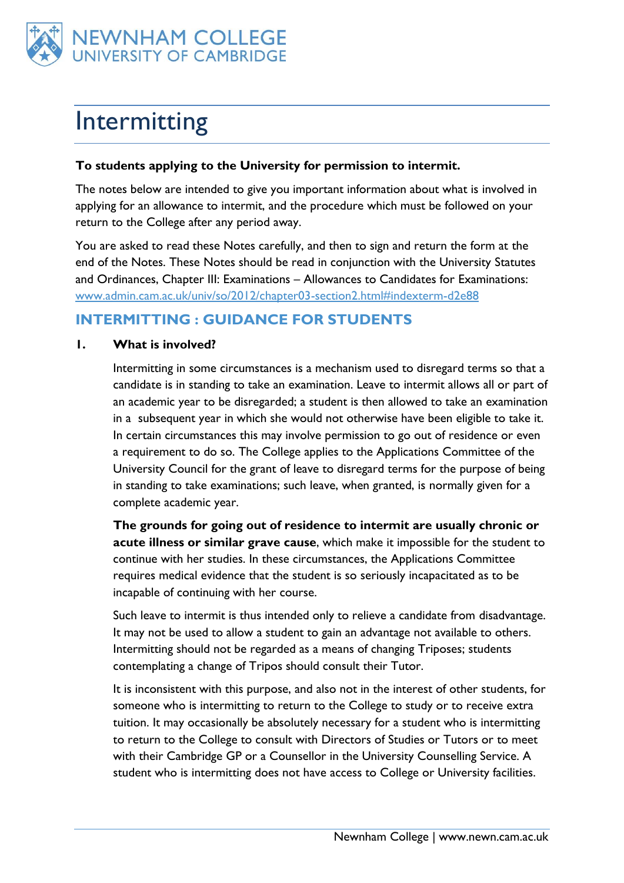

# Intermitting

#### **To students applying to the University for permission to intermit.**

The notes below are intended to give you important information about what is involved in applying for an allowance to intermit, and the procedure which must be followed on your return to the College after any period away.

You are asked to read these Notes carefully, and then to sign and return the form at the end of the Notes. These Notes should be read in conjunction with the University Statutes and Ordinances, Chapter III: Examinations – Allowances to Candidates for Examinations: [www.admin.cam.ac.uk/univ/so/2012/chapter03-section2.html#indexterm-d2e88](http://www.admin.cam.ac.uk/univ/so/2012/chapter03-section2.html#indexterm-d2e88)

### **INTERMITTING : GUIDANCE FOR STUDENTS**

#### **1. What is involved?**

Intermitting in some circumstances is a mechanism used to disregard terms so that a candidate is in standing to take an examination. Leave to intermit allows all or part of an academic year to be disregarded; a student is then allowed to take an examination in a subsequent year in which she would not otherwise have been eligible to take it. In certain circumstances this may involve permission to go out of residence or even a requirement to do so. The College applies to the Applications Committee of the University Council for the grant of leave to disregard terms for the purpose of being in standing to take examinations; such leave, when granted, is normally given for a complete academic year.

**The grounds for going out of residence to intermit are usually chronic or acute illness or similar grave cause**, which make it impossible for the student to continue with her studies. In these circumstances, the Applications Committee requires medical evidence that the student is so seriously incapacitated as to be incapable of continuing with her course.

Such leave to intermit is thus intended only to relieve a candidate from disadvantage. It may not be used to allow a student to gain an advantage not available to others. Intermitting should not be regarded as a means of changing Triposes; students contemplating a change of Tripos should consult their Tutor.

It is inconsistent with this purpose, and also not in the interest of other students, for someone who is intermitting to return to the College to study or to receive extra tuition. It may occasionally be absolutely necessary for a student who is intermitting to return to the College to consult with Directors of Studies or Tutors or to meet with their Cambridge GP or a Counsellor in the University Counselling Service. A student who is intermitting does not have access to College or University facilities.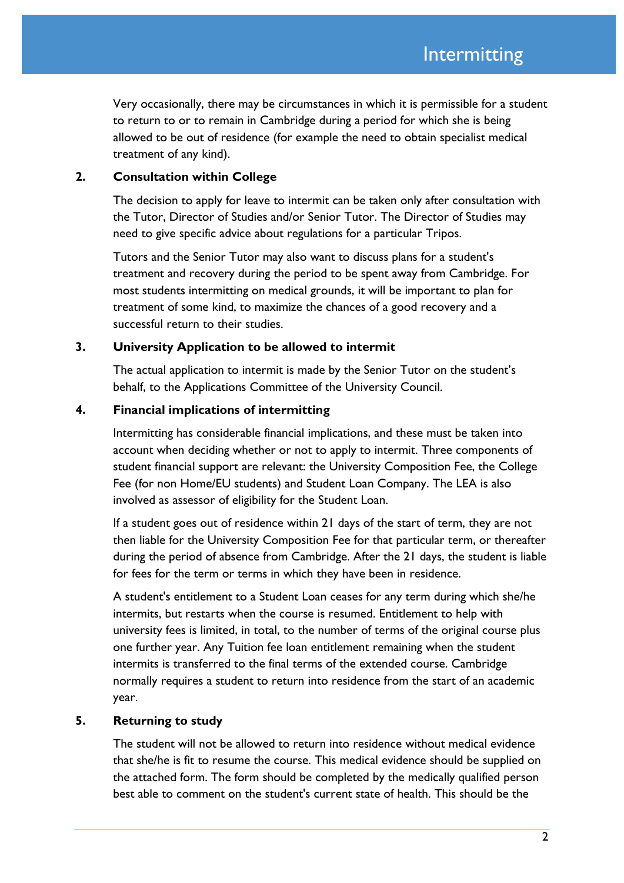Very occasionally, there may be circumstances in which it is permissible for a student to return to or to remain in Cambridge during a period for which she is being allowed to be out of residence (for example the need to obtain specialist medical treatment of any kind).

#### **2. Consultation within College**

The decision to apply for leave to intermit can be taken only after consultation with the Tutor, Director of Studies and/or Senior Tutor. The Director of Studies may need to give specific advice about regulations for a particular Tripos.

Tutors and the Senior Tutor may also want to discuss plans for a student's treatment and recovery during the period to be spent away from Cambridge. For most students intermitting on medical grounds, it will be important to plan for treatment of some kind, to maximize the chances of a good recovery and a successful return to their studies.

#### **3. University Application to be allowed to intermit**

The actual application to intermit is made by the Senior Tutor on the student's behalf, to the Applications Committee of the University Council.

#### **4. Financial implications of intermitting**

Intermitting has considerable financial implications, and these must be taken into account when deciding whether or not to apply to intermit. Three components of student financial support are relevant: the University Composition Fee, the College Fee (for non Home/EU students) and Student Loan Company. The LEA is also involved as assessor of eligibility for the Student Loan.

If a student goes out of residence within 21 days of the start of term, they are not then liable for the University Composition Fee for that particular term, or thereafter during the period of absence from Cambridge. After the 21 days, the student is liable for fees for the term or terms in which they have been in residence.

A student's entitlement to a Student Loan ceases for any term during which she/he intermits, but restarts when the course is resumed. Entitlement to help with university fees is limited, in total, to the number of terms of the original course plus one further year. Any Tuition fee loan entitlement remaining when the student intermits is transferred to the final terms of the extended course. Cambridge normally requires a student to return into residence from the start of an academic year.

#### **5. Returning to study**

The student will not be allowed to return into residence without medical evidence that she/he is fit to resume the course. This medical evidence should be supplied on the attached form. The form should be completed by the medically qualified person best able to comment on the student's current state of health. This should be the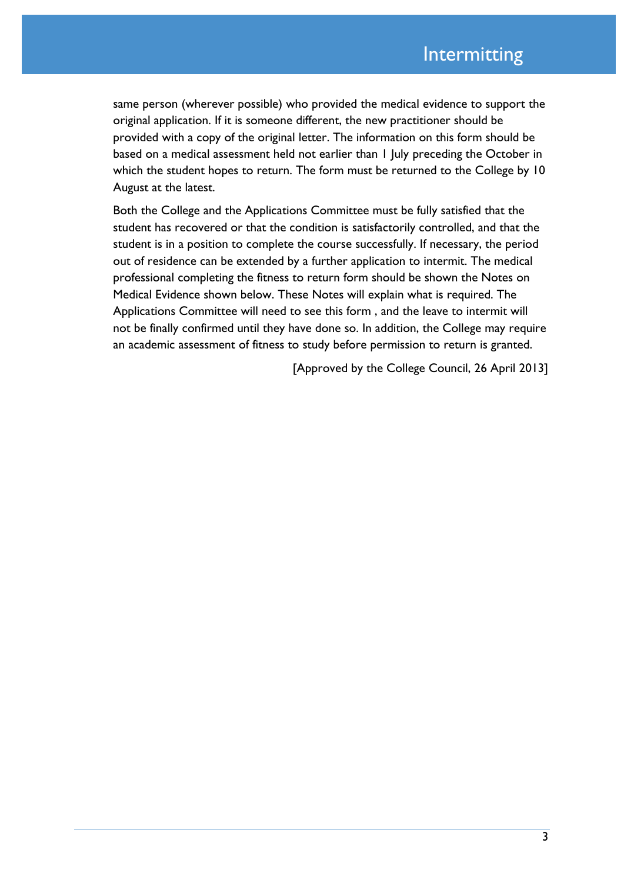same person (wherever possible) who provided the medical evidence to support the original application. If it is someone different, the new practitioner should be provided with a copy of the original letter. The information on this form should be based on a medical assessment held not earlier than 1 July preceding the October in which the student hopes to return. The form must be returned to the College by 10 August at the latest.

Both the College and the Applications Committee must be fully satisfied that the student has recovered or that the condition is satisfactorily controlled, and that the student is in a position to complete the course successfully. If necessary, the period out of residence can be extended by a further application to intermit. The medical professional completing the fitness to return form should be shown the Notes on Medical Evidence shown below. These Notes will explain what is required. The Applications Committee will need to see this form , and the leave to intermit will not be finally confirmed until they have done so. In addition, the College may require an academic assessment of fitness to study before permission to return is granted.

[Approved by the College Council, 26 April 2013]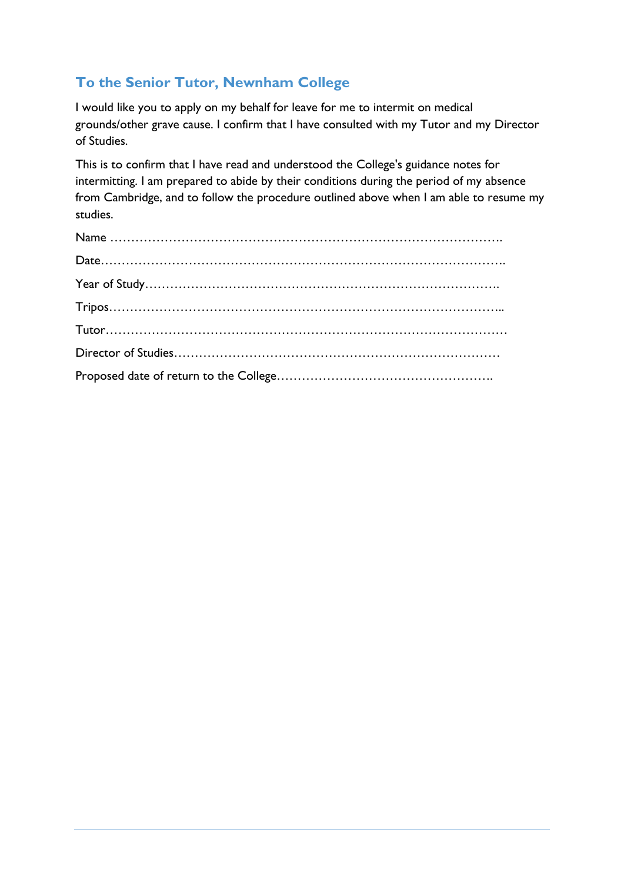# **To the Senior Tutor, Newnham College**

I would like you to apply on my behalf for leave for me to intermit on medical grounds/other grave cause. I confirm that I have consulted with my Tutor and my Director of Studies.

This is to confirm that I have read and understood the College's guidance notes for intermitting. I am prepared to abide by their conditions during the period of my absence from Cambridge, and to follow the procedure outlined above when I am able to resume my studies.